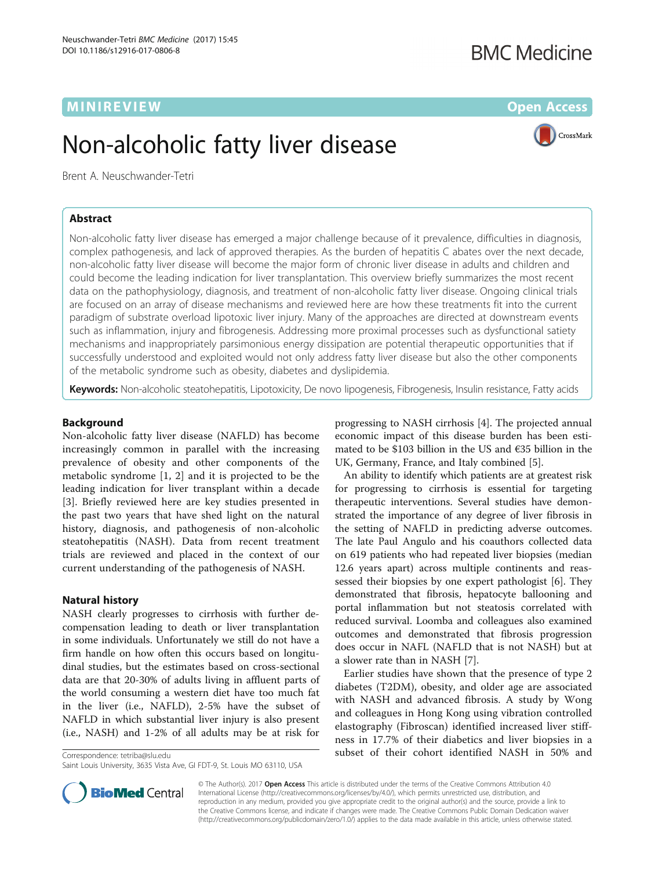# MINIREVIEW **EXISTENT CONTROL**

# **BMC Medicine**

# Non-alcoholic fatty liver disease



Brent A. Neuschwander-Tetri

# Abstract

Non-alcoholic fatty liver disease has emerged a major challenge because of it prevalence, difficulties in diagnosis, complex pathogenesis, and lack of approved therapies. As the burden of hepatitis C abates over the next decade, non-alcoholic fatty liver disease will become the major form of chronic liver disease in adults and children and could become the leading indication for liver transplantation. This overview briefly summarizes the most recent data on the pathophysiology, diagnosis, and treatment of non-alcoholic fatty liver disease. Ongoing clinical trials are focused on an array of disease mechanisms and reviewed here are how these treatments fit into the current paradigm of substrate overload lipotoxic liver injury. Many of the approaches are directed at downstream events such as inflammation, injury and fibrogenesis. Addressing more proximal processes such as dysfunctional satiety mechanisms and inappropriately parsimonious energy dissipation are potential therapeutic opportunities that if successfully understood and exploited would not only address fatty liver disease but also the other components of the metabolic syndrome such as obesity, diabetes and dyslipidemia.

Keywords: Non-alcoholic steatohepatitis, Lipotoxicity, De novo lipogenesis, Fibrogenesis, Insulin resistance, Fatty acids

#### Background

Non-alcoholic fatty liver disease (NAFLD) has become increasingly common in parallel with the increasing prevalence of obesity and other components of the metabolic syndrome [[1, 2](#page-4-0)] and it is projected to be the leading indication for liver transplant within a decade [[3\]](#page-4-0). Briefly reviewed here are key studies presented in the past two years that have shed light on the natural history, diagnosis, and pathogenesis of non-alcoholic steatohepatitis (NASH). Data from recent treatment trials are reviewed and placed in the context of our current understanding of the pathogenesis of NASH.

## Natural history

NASH clearly progresses to cirrhosis with further decompensation leading to death or liver transplantation in some individuals. Unfortunately we still do not have a firm handle on how often this occurs based on longitudinal studies, but the estimates based on cross-sectional data are that 20-30% of adults living in affluent parts of the world consuming a western diet have too much fat in the liver (i.e., NAFLD), 2-5% have the subset of NAFLD in which substantial liver injury is also present (i.e., NASH) and 1-2% of all adults may be at risk for

progressing to NASH cirrhosis [\[4](#page-4-0)]. The projected annual economic impact of this disease burden has been estimated to be \$103 billion in the US and €35 billion in the UK, Germany, France, and Italy combined [\[5](#page-4-0)].

An ability to identify which patients are at greatest risk for progressing to cirrhosis is essential for targeting therapeutic interventions. Several studies have demonstrated the importance of any degree of liver fibrosis in the setting of NAFLD in predicting adverse outcomes. The late Paul Angulo and his coauthors collected data on 619 patients who had repeated liver biopsies (median 12.6 years apart) across multiple continents and reassessed their biopsies by one expert pathologist [\[6](#page-4-0)]. They demonstrated that fibrosis, hepatocyte ballooning and portal inflammation but not steatosis correlated with reduced survival. Loomba and colleagues also examined outcomes and demonstrated that fibrosis progression does occur in NAFL (NAFLD that is not NASH) but at a slower rate than in NASH [\[7](#page-4-0)].

Earlier studies have shown that the presence of type 2 diabetes (T2DM), obesity, and older age are associated with NASH and advanced fibrosis. A study by Wong and colleagues in Hong Kong using vibration controlled elastography (Fibroscan) identified increased liver stiffness in 17.7% of their diabetics and liver biopsies in a Correspondence: [tetriba@slu.edu](mailto:tetriba@slu.edu) subset of their cohort identified NASH in 50% and



© The Author(s). 2017 **Open Access** This article is distributed under the terms of the Creative Commons Attribution 4.0 International License [\(http://creativecommons.org/licenses/by/4.0/](http://creativecommons.org/licenses/by/4.0/)), which permits unrestricted use, distribution, and reproduction in any medium, provided you give appropriate credit to the original author(s) and the source, provide a link to the Creative Commons license, and indicate if changes were made. The Creative Commons Public Domain Dedication waiver [\(http://creativecommons.org/publicdomain/zero/1.0/](http://creativecommons.org/publicdomain/zero/1.0/)) applies to the data made available in this article, unless otherwise stated.

Saint Louis University, 3635 Vista Ave, GI FDT-9, St. Louis MO 63110, USA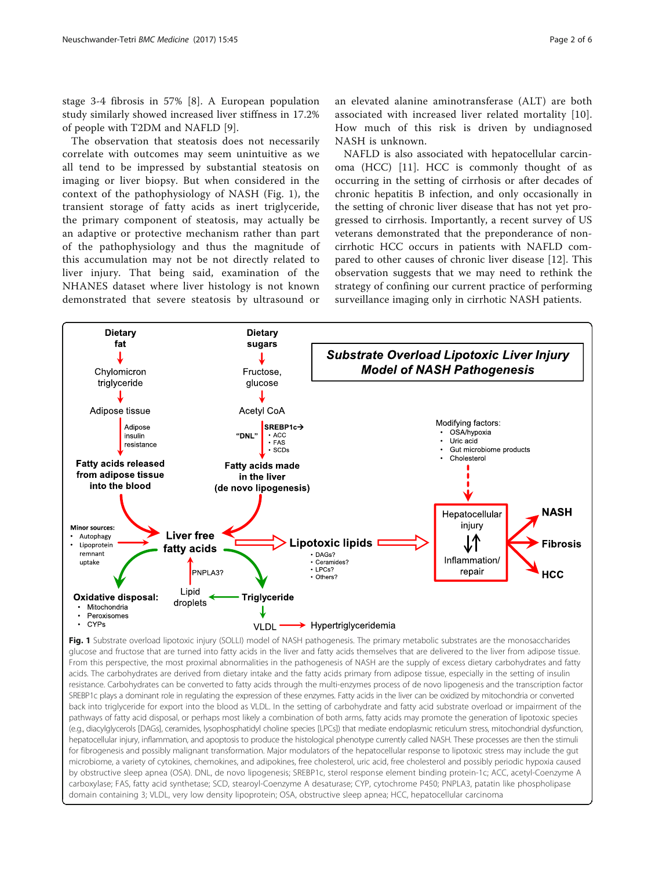<span id="page-1-0"></span>stage 3-4 fibrosis in 57% [[8\]](#page-4-0). A European population study similarly showed increased liver stiffness in 17.2% of people with T2DM and NAFLD [[9\]](#page-4-0).

The observation that steatosis does not necessarily correlate with outcomes may seem unintuitive as we all tend to be impressed by substantial steatosis on imaging or liver biopsy. But when considered in the context of the pathophysiology of NASH (Fig. 1), the transient storage of fatty acids as inert triglyceride, the primary component of steatosis, may actually be an adaptive or protective mechanism rather than part of the pathophysiology and thus the magnitude of this accumulation may not be not directly related to liver injury. That being said, examination of the NHANES dataset where liver histology is not known demonstrated that severe steatosis by ultrasound or

an elevated alanine aminotransferase (ALT) are both associated with increased liver related mortality [[10](#page-4-0)]. How much of this risk is driven by undiagnosed NASH is unknown.

NAFLD is also associated with hepatocellular carcinoma (HCC) [[11\]](#page-4-0). HCC is commonly thought of as occurring in the setting of cirrhosis or after decades of chronic hepatitis B infection, and only occasionally in the setting of chronic liver disease that has not yet progressed to cirrhosis. Importantly, a recent survey of US veterans demonstrated that the preponderance of noncirrhotic HCC occurs in patients with NAFLD compared to other causes of chronic liver disease [\[12](#page-4-0)]. This observation suggests that we may need to rethink the strategy of confining our current practice of performing surveillance imaging only in cirrhotic NASH patients.



Fig. 1 Substrate overload lipotoxic injury (SOLLI) model of NASH pathogenesis. The primary metabolic substrates are the monosaccharides glucose and fructose that are turned into fatty acids in the liver and fatty acids themselves that are delivered to the liver from adipose tissue. From this perspective, the most proximal abnormalities in the pathogenesis of NASH are the supply of excess dietary carbohydrates and fatty acids. The carbohydrates are derived from dietary intake and the fatty acids primary from adipose tissue, especially in the setting of insulin resistance. Carbohydrates can be converted to fatty acids through the multi-enzymes process of de novo lipogenesis and the transcription factor SREBP1c plays a dominant role in regulating the expression of these enzymes. Fatty acids in the liver can be oxidized by mitochondria or converted back into triglyceride for export into the blood as VLDL. In the setting of carbohydrate and fatty acid substrate overload or impairment of the pathways of fatty acid disposal, or perhaps most likely a combination of both arms, fatty acids may promote the generation of lipotoxic species (e.g., diacylglycerols [DAGs], ceramides, lysophosphatidyl choline species [LPCs]) that mediate endoplasmic reticulum stress, mitochondrial dysfunction, hepatocellular injury, inflammation, and apoptosis to produce the histological phenotype currently called NASH. These processes are then the stimuli for fibrogenesis and possibly malignant transformation. Major modulators of the hepatocellular response to lipotoxic stress may include the gut microbiome, a variety of cytokines, chemokines, and adipokines, free cholesterol, uric acid, free cholesterol and possibly periodic hypoxia caused by obstructive sleep apnea (OSA). DNL, de novo lipogenesis; SREBP1c, sterol response element binding protein-1c; ACC, acetyl-Coenzyme A carboxylase; FAS, fatty acid synthetase; SCD, stearoyl-Coenzyme A desaturase; CYP, cytochrome P450; PNPLA3, patatin like phospholipase domain containing 3; VLDL, very low density lipoprotein; OSA, obstructive sleep apnea; HCC, hepatocellular carcinoma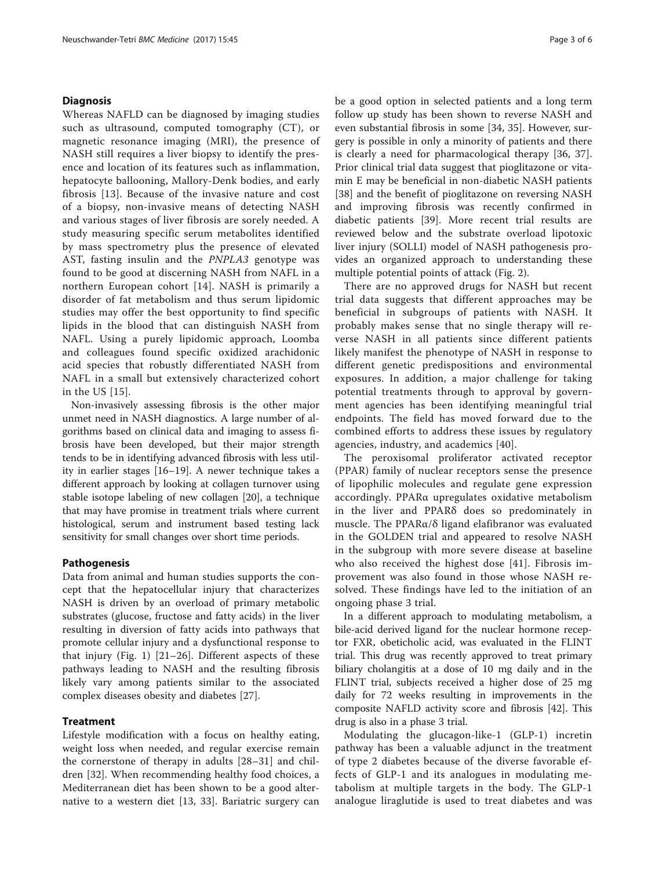#### **Diagnosis**

Whereas NAFLD can be diagnosed by imaging studies such as ultrasound, computed tomography (CT), or magnetic resonance imaging (MRI), the presence of NASH still requires a liver biopsy to identify the presence and location of its features such as inflammation, hepatocyte ballooning, Mallory-Denk bodies, and early fibrosis [\[13](#page-4-0)]. Because of the invasive nature and cost of a biopsy, non-invasive means of detecting NASH and various stages of liver fibrosis are sorely needed. A study measuring specific serum metabolites identified by mass spectrometry plus the presence of elevated AST, fasting insulin and the PNPLA3 genotype was found to be good at discerning NASH from NAFL in a northern European cohort [\[14\]](#page-4-0). NASH is primarily a disorder of fat metabolism and thus serum lipidomic studies may offer the best opportunity to find specific lipids in the blood that can distinguish NASH from NAFL. Using a purely lipidomic approach, Loomba and colleagues found specific oxidized arachidonic acid species that robustly differentiated NASH from NAFL in a small but extensively characterized cohort in the US [\[15](#page-4-0)].

Non-invasively assessing fibrosis is the other major unmet need in NASH diagnostics. A large number of algorithms based on clinical data and imaging to assess fibrosis have been developed, but their major strength tends to be in identifying advanced fibrosis with less utility in earlier stages [\[16](#page-4-0)–[19\]](#page-5-0). A newer technique takes a different approach by looking at collagen turnover using stable isotope labeling of new collagen [[20](#page-5-0)], a technique that may have promise in treatment trials where current histological, serum and instrument based testing lack sensitivity for small changes over short time periods.

#### Pathogenesis

Data from animal and human studies supports the concept that the hepatocellular injury that characterizes NASH is driven by an overload of primary metabolic substrates (glucose, fructose and fatty acids) in the liver resulting in diversion of fatty acids into pathways that promote cellular injury and a dysfunctional response to that injury (Fig. [1\)](#page-1-0) [[21](#page-5-0)–[26\]](#page-5-0). Different aspects of these pathways leading to NASH and the resulting fibrosis likely vary among patients similar to the associated complex diseases obesity and diabetes [\[27](#page-5-0)].

#### **Treatment**

Lifestyle modification with a focus on healthy eating, weight loss when needed, and regular exercise remain the cornerstone of therapy in adults [\[28](#page-5-0)–[31](#page-5-0)] and children [\[32](#page-5-0)]. When recommending healthy food choices, a Mediterranean diet has been shown to be a good alternative to a western diet [[13](#page-4-0), [33](#page-5-0)]. Bariatric surgery can be a good option in selected patients and a long term follow up study has been shown to reverse NASH and even substantial fibrosis in some [[34, 35\]](#page-5-0). However, surgery is possible in only a minority of patients and there is clearly a need for pharmacological therapy [[36, 37](#page-5-0)]. Prior clinical trial data suggest that pioglitazone or vitamin E may be beneficial in non-diabetic NASH patients [[38\]](#page-5-0) and the benefit of pioglitazone on reversing NASH and improving fibrosis was recently confirmed in diabetic patients [[39\]](#page-5-0). More recent trial results are reviewed below and the substrate overload lipotoxic liver injury (SOLLI) model of NASH pathogenesis provides an organized approach to understanding these multiple potential points of attack (Fig. [2\)](#page-3-0).

There are no approved drugs for NASH but recent trial data suggests that different approaches may be beneficial in subgroups of patients with NASH. It probably makes sense that no single therapy will reverse NASH in all patients since different patients likely manifest the phenotype of NASH in response to different genetic predispositions and environmental exposures. In addition, a major challenge for taking potential treatments through to approval by government agencies has been identifying meaningful trial endpoints. The field has moved forward due to the combined efforts to address these issues by regulatory agencies, industry, and academics [\[40\]](#page-5-0).

The peroxisomal proliferator activated receptor (PPAR) family of nuclear receptors sense the presence of lipophilic molecules and regulate gene expression accordingly. PPARα upregulates oxidative metabolism in the liver and PPARδ does so predominately in muscle. The PPARα/δ ligand elafibranor was evaluated in the GOLDEN trial and appeared to resolve NASH in the subgroup with more severe disease at baseline who also received the highest dose [\[41\]](#page-5-0). Fibrosis improvement was also found in those whose NASH resolved. These findings have led to the initiation of an ongoing phase 3 trial.

In a different approach to modulating metabolism, a bile-acid derived ligand for the nuclear hormone receptor FXR, obeticholic acid, was evaluated in the FLINT trial. This drug was recently approved to treat primary biliary cholangitis at a dose of 10 mg daily and in the FLINT trial, subjects received a higher dose of 25 mg daily for 72 weeks resulting in improvements in the composite NAFLD activity score and fibrosis [\[42](#page-5-0)]. This drug is also in a phase 3 trial.

Modulating the glucagon-like-1 (GLP-1) incretin pathway has been a valuable adjunct in the treatment of type 2 diabetes because of the diverse favorable effects of GLP-1 and its analogues in modulating metabolism at multiple targets in the body. The GLP-1 analogue liraglutide is used to treat diabetes and was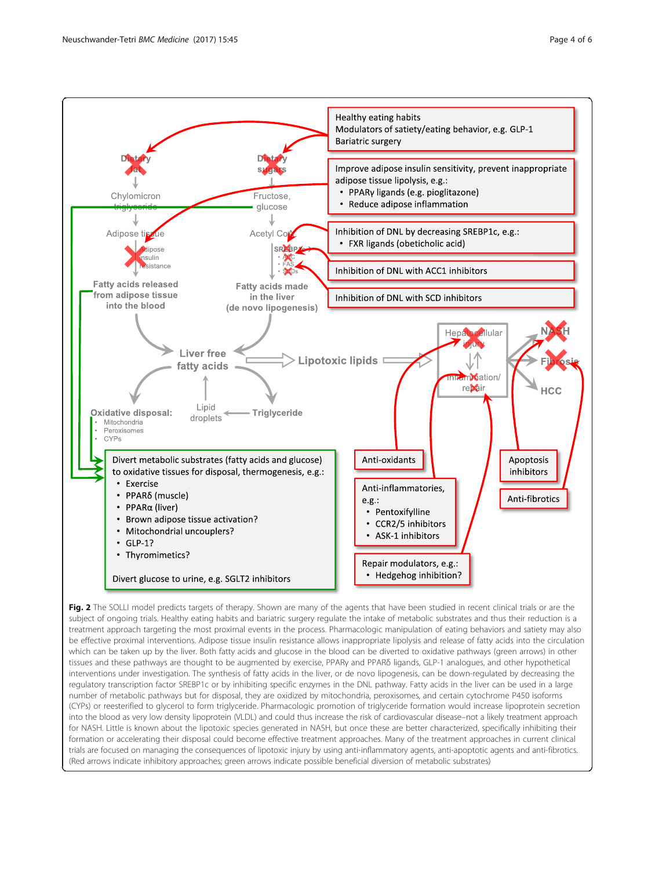<span id="page-3-0"></span>

Fig. 2 The SOLLI model predicts targets of therapy. Shown are many of the agents that have been studied in recent clinical trials or are the subject of ongoing trials. Healthy eating habits and bariatric surgery regulate the intake of metabolic substrates and thus their reduction is a treatment approach targeting the most proximal events in the process. Pharmacologic manipulation of eating behaviors and satiety may also be effective proximal interventions. Adipose tissue insulin resistance allows inappropriate lipolysis and release of fatty acids into the circulation which can be taken up by the liver. Both fatty acids and glucose in the blood can be diverted to oxidative pathways (green arrows) in other tissues and these pathways are thought to be augmented by exercise, PPARγ and PPARδ ligands, GLP-1 analogues, and other hypothetical interventions under investigation. The synthesis of fatty acids in the liver, or de novo lipogenesis, can be down-regulated by decreasing the regulatory transcription factor SREBP1c or by inhibiting specific enzymes in the DNL pathway. Fatty acids in the liver can be used in a large number of metabolic pathways but for disposal, they are oxidized by mitochondria, peroxisomes, and certain cytochrome P450 isoforms (CYPs) or reesterified to glycerol to form triglyceride. Pharmacologic promotion of triglyceride formation would increase lipoprotein secretion into the blood as very low density lipoprotein (VLDL) and could thus increase the risk of cardiovascular disease–not a likely treatment approach for NASH. Little is known about the lipotoxic species generated in NASH, but once these are better characterized, specifically inhibiting their formation or accelerating their disposal could become effective treatment approaches. Many of the treatment approaches in current clinical trials are focused on managing the consequences of lipotoxic injury by using anti-inflammatory agents, anti-apoptotic agents and anti-fibrotics. (Red arrows indicate inhibitory approaches; green arrows indicate possible beneficial diversion of metabolic substrates)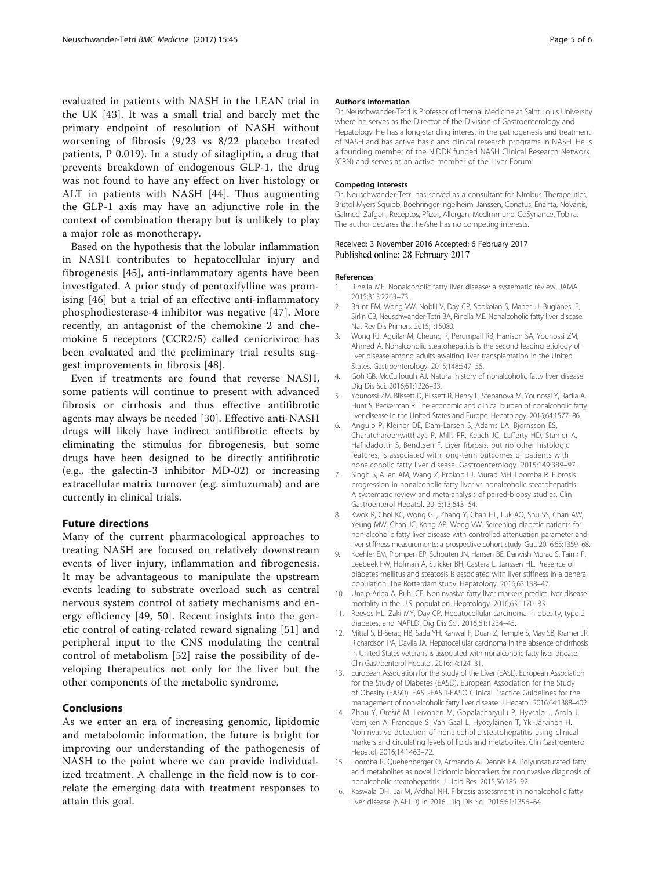<span id="page-4-0"></span>evaluated in patients with NASH in the LEAN trial in the UK [[43\]](#page-5-0). It was a small trial and barely met the primary endpoint of resolution of NASH without worsening of fibrosis (9/23 vs 8/22 placebo treated patients, P 0.019). In a study of sitagliptin, a drug that prevents breakdown of endogenous GLP-1, the drug was not found to have any effect on liver histology or ALT in patients with NASH [[44](#page-5-0)]. Thus augmenting the GLP-1 axis may have an adjunctive role in the context of combination therapy but is unlikely to play a major role as monotherapy.

Based on the hypothesis that the lobular inflammation in NASH contributes to hepatocellular injury and fibrogenesis [[45\]](#page-5-0), anti-inflammatory agents have been investigated. A prior study of pentoxifylline was promising [[46\]](#page-5-0) but a trial of an effective anti-inflammatory phosphodiesterase-4 inhibitor was negative [\[47\]](#page-5-0). More recently, an antagonist of the chemokine 2 and chemokine 5 receptors (CCR2/5) called cenicriviroc has been evaluated and the preliminary trial results suggest improvements in fibrosis [[48](#page-5-0)].

Even if treatments are found that reverse NASH, some patients will continue to present with advanced fibrosis or cirrhosis and thus effective antifibrotic agents may always be needed [[30\]](#page-5-0). Effective anti-NASH drugs will likely have indirect antifibrotic effects by eliminating the stimulus for fibrogenesis, but some drugs have been designed to be directly antifibrotic (e.g., the galectin-3 inhibitor MD-02) or increasing extracellular matrix turnover (e.g. simtuzumab) and are currently in clinical trials.

#### Future directions

Many of the current pharmacological approaches to treating NASH are focused on relatively downstream events of liver injury, inflammation and fibrogenesis. It may be advantageous to manipulate the upstream events leading to substrate overload such as central nervous system control of satiety mechanisms and energy efficiency [\[49, 50](#page-5-0)]. Recent insights into the genetic control of eating-related reward signaling [[51\]](#page-5-0) and peripheral input to the CNS modulating the central control of metabolism [[52](#page-5-0)] raise the possibility of developing therapeutics not only for the liver but the other components of the metabolic syndrome.

### Conclusions

As we enter an era of increasing genomic, lipidomic and metabolomic information, the future is bright for improving our understanding of the pathogenesis of NASH to the point where we can provide individualized treatment. A challenge in the field now is to correlate the emerging data with treatment responses to attain this goal.

#### Author's information

Dr. Neuschwander-Tetri is Professor of Internal Medicine at Saint Louis University where he serves as the Director of the Division of Gastroenterology and Hepatology. He has a long-standing interest in the pathogenesis and treatment of NASH and has active basic and clinical research programs in NASH. He is a founding member of the NIDDK funded NASH Clinical Research Network (CRN) and serves as an active member of the Liver Forum.

#### Competing interests

Dr. Neuschwander-Tetri has served as a consultant for Nimbus Therapeutics, Bristol Myers Squibb, Boehringer-Ingelheim, Janssen, Conatus, Enanta, Novartis, Galmed, Zafgen, Receptos, Pfizer, Allergan, MedImmune, CoSynance, Tobira. The author declares that he/she has no competing interests.

#### Received: 3 November 2016 Accepted: 6 February 2017 Published online: 28 February 2017

#### References

- Rinella ME. Nonalcoholic fatty liver disease: a systematic review. JAMA. 2015;313:2263–73.
- 2. Brunt EM, Wong VW, Nobili V, Day CP, Sookoian S, Maher JJ, Bugianesi E, Sirlin CB, Neuschwander-Tetri BA, Rinella ME. Nonalcoholic fatty liver disease. Nat Rev Dis Primers. 2015;1:15080.
- 3. Wong RJ, Aguilar M, Cheung R, Perumpail RB, Harrison SA, Younossi ZM, Ahmed A. Nonalcoholic steatohepatitis is the second leading etiology of liver disease among adults awaiting liver transplantation in the United States. Gastroenterology. 2015;148:547–55.
- 4. Goh GB, McCullough AJ. Natural history of nonalcoholic fatty liver disease. Dig Dis Sci. 2016;61:1226–33.
- 5. Younossi ZM, Blissett D, Blissett R, Henry L, Stepanova M, Younossi Y, Racila A, Hunt S, Beckerman R. The economic and clinical burden of nonalcoholic fatty liver disease in the United States and Europe. Hepatology. 2016;64:1577–86.
- 6. Angulo P, Kleiner DE, Dam-Larsen S, Adams LA, Bjornsson ES, Charatcharoenwitthaya P, Mills PR, Keach JC, Lafferty HD, Stahler A, Haflidadottir S, Bendtsen F. Liver fibrosis, but no other histologic features, is associated with long-term outcomes of patients with nonalcoholic fatty liver disease. Gastroenterology. 2015;149:389–97.
- 7. Singh S, Allen AM, Wang Z, Prokop LJ, Murad MH, Loomba R. Fibrosis progression in nonalcoholic fatty liver vs nonalcoholic steatohepatitis: A systematic review and meta-analysis of paired-biopsy studies. Clin Gastroenterol Hepatol. 2015;13:643–54.
- 8. Kwok R, Choi KC, Wong GL, Zhang Y, Chan HL, Luk AO, Shu SS, Chan AW, Yeung MW, Chan JC, Kong AP, Wong VW. Screening diabetic patients for non-alcoholic fatty liver disease with controlled attenuation parameter and liver stiffness measurements: a prospective cohort study. Gut. 2016;65:1359–68.
- 9. Koehler EM, Plompen EP, Schouten JN, Hansen BE, Darwish Murad S, Taimr P, Leebeek FW, Hofman A, Stricker BH, Castera L, Janssen HL. Presence of diabetes mellitus and steatosis is associated with liver stiffness in a general population: The Rotterdam study. Hepatology. 2016;63:138–47.
- 10. Unalp-Arida A, Ruhl CE. Noninvasive fatty liver markers predict liver disease mortality in the U.S. population. Hepatology. 2016;63:1170–83.
- 11. Reeves HL, Zaki MY, Day CP. Hepatocellular carcinoma in obesity, type 2 diabetes, and NAFLD. Dig Dis Sci. 2016;61:1234–45.
- 12. Mittal S, El-Serag HB, Sada YH, Kanwal F, Duan Z, Temple S, May SB, Kramer JR, Richardson PA, Davila JA. Hepatocellular carcinoma in the absence of cirrhosis in United States veterans is associated with nonalcoholic fatty liver disease. Clin Gastroenterol Hepatol. 2016;14:124–31.
- 13. European Association for the Study of the Liver (EASL), European Association for the Study of Diabetes (EASD), European Association for the Study of Obesity (EASO). EASL-EASD-EASO Clinical Practice Guidelines for the management of non-alcoholic fatty liver disease. J Hepatol. 2016;64:1388–402.
- 14. Zhou Y, Orešič M, Leivonen M, Gopalacharyulu P, Hyysalo J, Arola J, Verrijken A, Francque S, Van Gaal L, Hyötyläinen T, Yki-Järvinen H. Noninvasive detection of nonalcoholic steatohepatitis using clinical markers and circulating levels of lipids and metabolites. Clin Gastroenterol Hepatol. 2016;14:1463–72.
- 15. Loomba R, Quehenberger O, Armando A, Dennis EA. Polyunsaturated fatty acid metabolites as novel lipidomic biomarkers for noninvasive diagnosis of nonalcoholic steatohepatitis. J Lipid Res. 2015;56:185–92.
- 16. Kaswala DH, Lai M, Afdhal NH. Fibrosis assessment in nonalcoholic fatty liver disease (NAFLD) in 2016. Dig Dis Sci. 2016;61:1356–64.